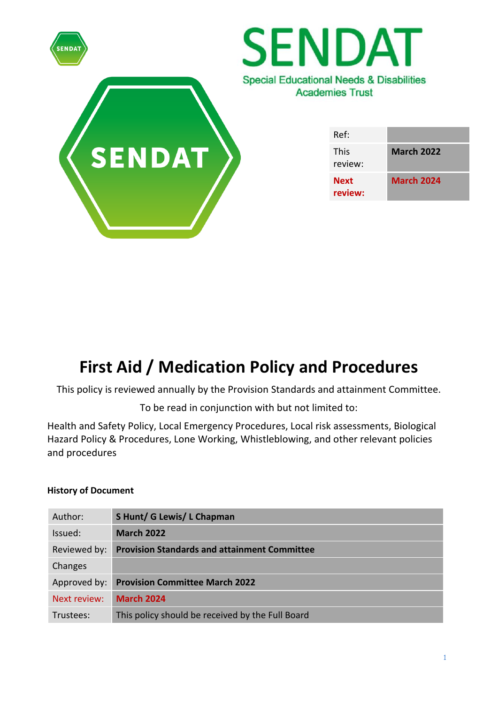

# **First Aid / Medication Policy and Procedures**

This policy is reviewed annually by the Provision Standards and attainment Committee.

To be read in conjunction with but not limited to:

Health and Safety Policy, Local Emergency Procedures, Local risk assessments, Biological Hazard Policy & Procedures, Lone Working, Whistleblowing, and other relevant policies and procedures

# **History of Document**

| Author:      | S Hunt/ G Lewis/ L Chapman                          |
|--------------|-----------------------------------------------------|
| Issued:      | <b>March 2022</b>                                   |
| Reviewed by: | <b>Provision Standards and attainment Committee</b> |
| Changes      |                                                     |
| Approved by: | <b>Provision Committee March 2022</b>               |
| Next review: | <b>March 2024</b>                                   |
| Trustees:    | This policy should be received by the Full Board    |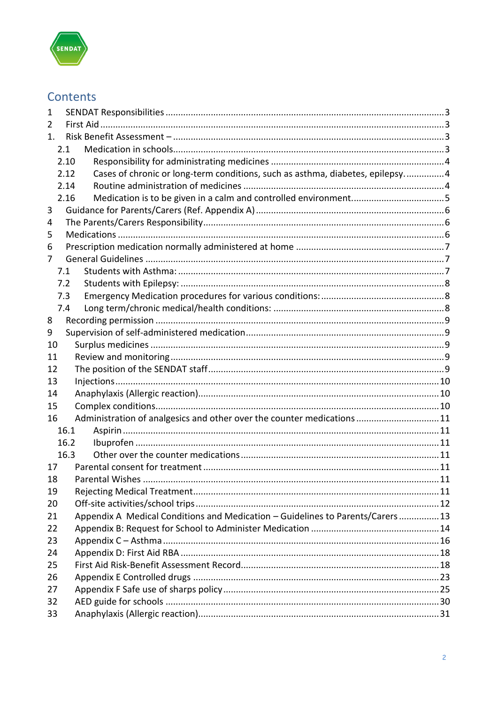

# Contents

| 1  |      |                                                                               |  |  |  |
|----|------|-------------------------------------------------------------------------------|--|--|--|
| 2  |      |                                                                               |  |  |  |
| 1. |      |                                                                               |  |  |  |
|    | 2.1  |                                                                               |  |  |  |
|    | 2.10 |                                                                               |  |  |  |
|    | 2.12 | Cases of chronic or long-term conditions, such as asthma, diabetes, epilepsy4 |  |  |  |
|    | 2.14 |                                                                               |  |  |  |
|    | 2.16 |                                                                               |  |  |  |
| 3  |      |                                                                               |  |  |  |
| 4  |      |                                                                               |  |  |  |
| 5  |      |                                                                               |  |  |  |
| 6  |      |                                                                               |  |  |  |
| 7  |      |                                                                               |  |  |  |
|    | 7.1  |                                                                               |  |  |  |
|    | 7.2  |                                                                               |  |  |  |
|    | 7.3  |                                                                               |  |  |  |
|    | 7.4  |                                                                               |  |  |  |
| 8  |      |                                                                               |  |  |  |
| 9  |      |                                                                               |  |  |  |
| 10 |      |                                                                               |  |  |  |
| 11 |      |                                                                               |  |  |  |
| 12 |      |                                                                               |  |  |  |
| 13 |      |                                                                               |  |  |  |
| 14 |      |                                                                               |  |  |  |
| 15 |      |                                                                               |  |  |  |
| 16 |      | Administration of analgesics and other over the counter medications11         |  |  |  |
|    | 16.1 |                                                                               |  |  |  |
|    | 16.2 |                                                                               |  |  |  |
|    | 16.3 |                                                                               |  |  |  |
| 17 |      |                                                                               |  |  |  |
| 18 |      |                                                                               |  |  |  |
| 19 |      |                                                                               |  |  |  |
| 20 |      |                                                                               |  |  |  |
| 21 |      | Appendix A Medical Conditions and Medication - Guidelines to Parents/Carers13 |  |  |  |
| 22 |      |                                                                               |  |  |  |
| 23 |      |                                                                               |  |  |  |
| 24 |      |                                                                               |  |  |  |
| 25 |      |                                                                               |  |  |  |
| 26 |      |                                                                               |  |  |  |
| 27 |      |                                                                               |  |  |  |
| 32 |      |                                                                               |  |  |  |
| 33 |      |                                                                               |  |  |  |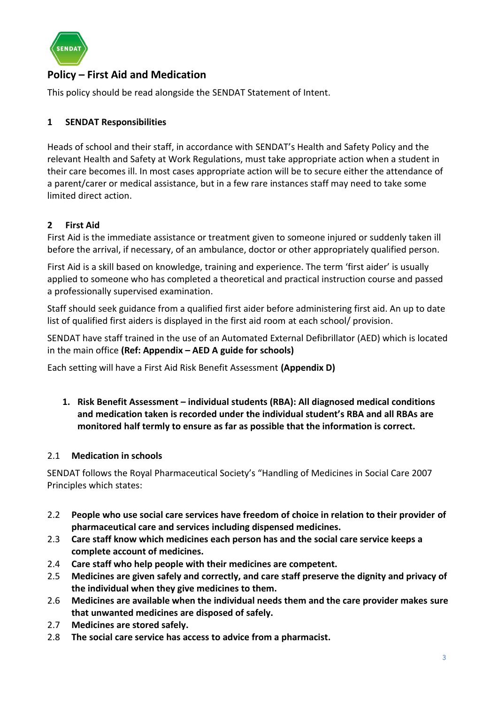

# **Policy – First Aid and Medication**

This policy should be read alongside the SENDAT Statement of Intent.

# <span id="page-2-0"></span>**1 SENDAT Responsibilities**

Heads of school and their staff, in accordance with SENDAT's Health and Safety Policy and the relevant Health and Safety at Work Regulations, must take appropriate action when a student in their care becomes ill. In most cases appropriate action will be to secure either the attendance of a parent/carer or medical assistance, but in a few rare instances staff may need to take some limited direct action.

# <span id="page-2-1"></span>**2 First Aid**

First Aid is the immediate assistance or treatment given to someone injured or suddenly taken ill before the arrival, if necessary, of an ambulance, doctor or other appropriately qualified person.

First Aid is a skill based on knowledge, training and experience. The term 'first aider' is usually applied to someone who has completed a theoretical and practical instruction course and passed a professionally supervised examination.

Staff should seek guidance from a qualified first aider before administering first aid. An up to date list of qualified first aiders is displayed in the first aid room at each school/ provision.

SENDAT have staff trained in the use of an Automated External Defibrillator (AED) which is located in the main office **(Ref: Appendix – AED A guide for schools)**

Each setting will have a First Aid Risk Benefit Assessment **(Appendix D)** 

<span id="page-2-2"></span>**1. Risk Benefit Assessment – individual students (RBA): All diagnosed medical conditions and medication taken is recorded under the individual student's RBA and all RBAs are monitored half termly to ensure as far as possible that the information is correct.**

## <span id="page-2-3"></span>2.1 **Medication in schools**

SENDAT follows the Royal Pharmaceutical Society's "Handling of Medicines in Social Care 2007 Principles which states:

- 2.2 **People who use social care services have freedom of choice in relation to their provider of pharmaceutical care and services including dispensed medicines.**
- 2.3 **Care staff know which medicines each person has and the social care service keeps a complete account of medicines.**
- 2.4 **Care staff who help people with their medicines are competent.**
- 2.5 **Medicines are given safely and correctly, and care staff preserve the dignity and privacy of the individual when they give medicines to them.**
- 2.6 **Medicines are available when the individual needs them and the care provider makes sure that unwanted medicines are disposed of safely.**
- 2.7 **Medicines are stored safely.**
- 2.8 **The social care service has access to advice from a pharmacist.**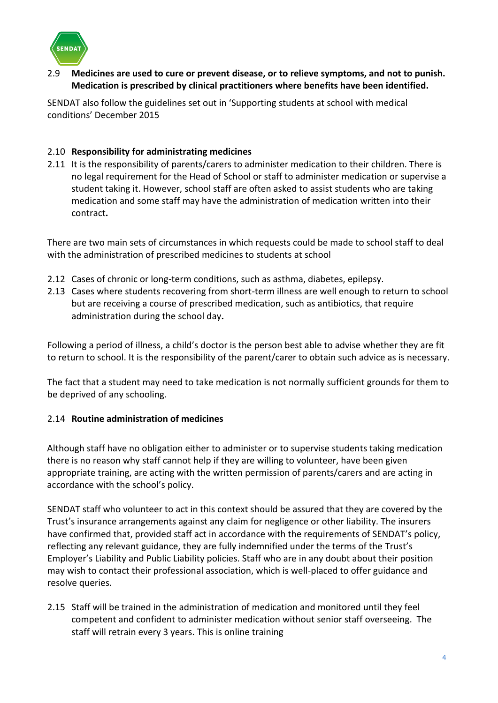

2.9 **Medicines are used to cure or prevent disease, or to relieve symptoms, and not to punish. Medication is prescribed by clinical practitioners where benefits have been identified.**

SENDAT also follow the guidelines set out in 'Supporting students at school with medical conditions' December 2015

## <span id="page-3-0"></span>2.10 **Responsibility for administrating medicines**

2.11 It is the responsibility of parents/carers to administer medication to their children. There is no legal requirement for the Head of School or staff to administer medication or supervise a student taking it. However, school staff are often asked to assist students who are taking medication and some staff may have the administration of medication written into their contract**.** 

There are two main sets of circumstances in which requests could be made to school staff to deal with the administration of prescribed medicines to students at school

- <span id="page-3-1"></span>2.12 Cases of chronic or long-term conditions, such as asthma, diabetes, epilepsy.
- 2.13 Cases where students recovering from short-term illness are well enough to return to school but are receiving a course of prescribed medication, such as antibiotics, that require administration during the school day**.**

Following a period of illness, a child's doctor is the person best able to advise whether they are fit to return to school. It is the responsibility of the parent/carer to obtain such advice as is necessary.

The fact that a student may need to take medication is not normally sufficient grounds for them to be deprived of any schooling.

# <span id="page-3-2"></span>2.14 **Routine administration of medicines**

Although staff have no obligation either to administer or to supervise students taking medication there is no reason why staff cannot help if they are willing to volunteer, have been given appropriate training, are acting with the written permission of parents/carers and are acting in accordance with the school's policy.

SENDAT staff who volunteer to act in this context should be assured that they are covered by the Trust's insurance arrangements against any claim for negligence or other liability. The insurers have confirmed that, provided staff act in accordance with the requirements of SENDAT's policy, reflecting any relevant guidance, they are fully indemnified under the terms of the Trust's Employer's Liability and Public Liability policies. Staff who are in any doubt about their position may wish to contact their professional association, which is well-placed to offer guidance and resolve queries.

2.15 Staff will be trained in the administration of medication and monitored until they feel competent and confident to administer medication without senior staff overseeing. The staff will retrain every 3 years. This is online training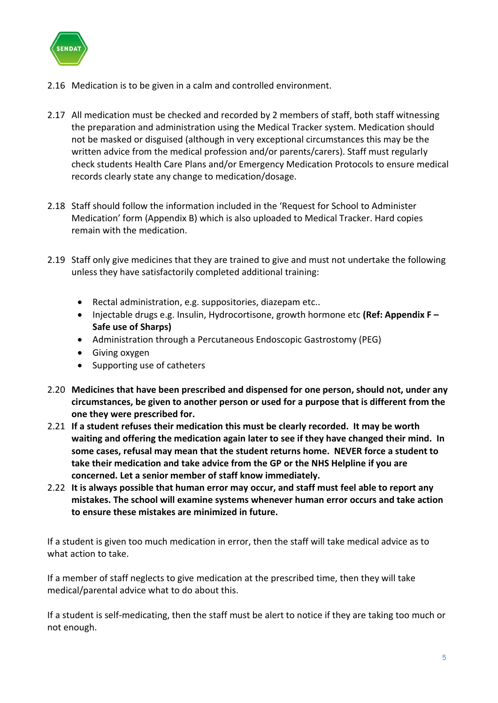

- <span id="page-4-0"></span>2.16 Medication is to be given in a calm and controlled environment.
- 2.17 All medication must be checked and recorded by 2 members of staff, both staff witnessing the preparation and administration using the Medical Tracker system. Medication should not be masked or disguised (although in very exceptional circumstances this may be the written advice from the medical profession and/or parents/carers). Staff must regularly check students Health Care Plans and/or Emergency Medication Protocols to ensure medical records clearly state any change to medication/dosage.
- 2.18 Staff should follow the information included in the 'Request for School to Administer Medication' form (Appendix B) which is also uploaded to Medical Tracker. Hard copies remain with the medication.
- 2.19 Staff only give medicines that they are trained to give and must not undertake the following unless they have satisfactorily completed additional training:
	- Rectal administration, e.g. suppositories, diazepam etc..
	- Injectable drugs e.g. Insulin, Hydrocortisone, growth hormone etc **(Ref: Appendix F – Safe use of Sharps)**
	- Administration through a Percutaneous Endoscopic Gastrostomy (PEG)
	- Giving oxygen
	- Supporting use of catheters
- 2.20 **Medicines that have been prescribed and dispensed for one person, should not, under any circumstances, be given to another person or used for a purpose that is different from the one they were prescribed for.**
- 2.21 **If a student refuses their medication this must be clearly recorded. It may be worth waiting and offering the medication again later to see if they have changed their mind. In some cases, refusal may mean that the student returns home. NEVER force a student to take their medication and take advice from the GP or the NHS Helpline if you are concerned. Let a senior member of staff know immediately.**
- 2.22 **It is always possible that human error may occur, and staff must feel able to report any mistakes. The school will examine systems whenever human error occurs and take action to ensure these mistakes are minimized in future.**

If a student is given too much medication in error, then the staff will take medical advice as to what action to take.

If a member of staff neglects to give medication at the prescribed time, then they will take medical/parental advice what to do about this.

If a student is self-medicating, then the staff must be alert to notice if they are taking too much or not enough.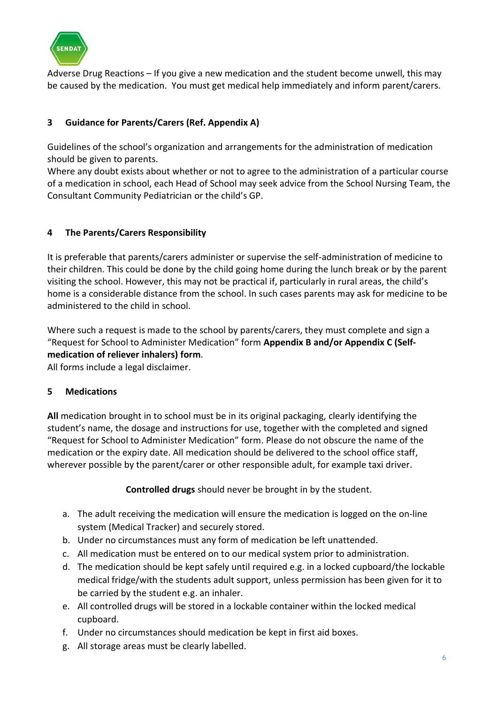

Adverse Drug Reactions – If you give a new medication and the student become unwell, this may be caused by the medication. You must get medical help immediately and inform parent/carers.

# <span id="page-5-0"></span>**3 Guidance for Parents/Carers (Ref. Appendix A)**

Guidelines of the school's organization and arrangements for the administration of medication should be given to parents.

Where any doubt exists about whether or not to agree to the administration of a particular course of a medication in school, each Head of School may seek advice from the School Nursing Team, the Consultant Community Pediatrician or the child's GP.

## <span id="page-5-1"></span>**4 The Parents/Carers Responsibility**

It is preferable that parents/carers administer or supervise the self-administration of medicine to their children. This could be done by the child going home during the lunch break or by the parent visiting the school. However, this may not be practical if, particularly in rural areas, the child's home is a considerable distance from the school. In such cases parents may ask for medicine to be administered to the child in school.

Where such a request is made to the school by parents/carers, they must complete and sign a "Request for School to Administer Medication" form **Appendix B and/or Appendix C (Selfmedication of reliever inhalers) form**.

All forms include a legal disclaimer.

## <span id="page-5-2"></span>**5 Medications**

**All** medication brought in to school must be in its original packaging, clearly identifying the student's name, the dosage and instructions for use, together with the completed and signed "Request for School to Administer Medication" form. Please do not obscure the name of the medication or the expiry date. All medication should be delivered to the school office staff, wherever possible by the parent/carer or other responsible adult, for example taxi driver.

**Controlled drugs** should never be brought in by the student.

- a. The adult receiving the medication will ensure the medication is logged on the on-line system (Medical Tracker) and securely stored.
- b. Under no circumstances must any form of medication be left unattended.
- c. All medication must be entered on to our medical system prior to administration.
- d. The medication should be kept safely until required e.g. in a locked cupboard/the lockable medical fridge/with the students adult support, unless permission has been given for it to be carried by the student e.g. an inhaler.
- e. All controlled drugs will be stored in a lockable container within the locked medical cupboard.
- f. Under no circumstances should medication be kept in first aid boxes.
- g. All storage areas must be clearly labelled.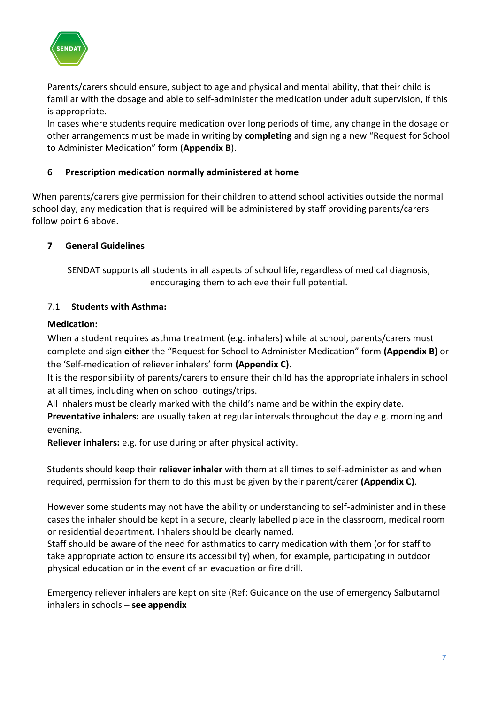

Parents/carers should ensure, subject to age and physical and mental ability, that their child is familiar with the dosage and able to self-administer the medication under adult supervision, if this is appropriate.

In cases where students require medication over long periods of time, any change in the dosage or other arrangements must be made in writing by **completing** and signing a new "Request for School to Administer Medication" form (**Appendix B**).

# <span id="page-6-0"></span>**6 Prescription medication normally administered at home**

When parents/carers give permission for their children to attend school activities outside the normal school day, any medication that is required will be administered by staff providing parents/carers follow point 6 above.

## <span id="page-6-1"></span>**7 General Guidelines**

SENDAT supports all students in all aspects of school life, regardless of medical diagnosis, encouraging them to achieve their full potential.

## <span id="page-6-2"></span>7.1 **Students with Asthma:**

## **Medication:**

When a student requires asthma treatment (e.g. inhalers) while at school, parents/carers must complete and sign **either** the "Request for School to Administer Medication" form **(Appendix B)** or the 'Self-medication of reliever inhalers' form **(Appendix C)**.

It is the responsibility of parents/carers to ensure their child has the appropriate inhalers in school at all times, including when on school outings/trips.

All inhalers must be clearly marked with the child's name and be within the expiry date.

**Preventative inhalers:** are usually taken at regular intervals throughout the day e.g. morning and evening.

**Reliever inhalers:** e.g. for use during or after physical activity.

Students should keep their **reliever inhaler** with them at all times to self-administer as and when required, permission for them to do this must be given by their parent/carer **(Appendix C)**.

However some students may not have the ability or understanding to self-administer and in these cases the inhaler should be kept in a secure, clearly labelled place in the classroom, medical room or residential department. Inhalers should be clearly named.

Staff should be aware of the need for asthmatics to carry medication with them (or for staff to take appropriate action to ensure its accessibility) when, for example, participating in outdoor physical education or in the event of an evacuation or fire drill.

Emergency reliever inhalers are kept on site (Ref: Guidance on the use of emergency Salbutamol inhalers in schools – **see appendix**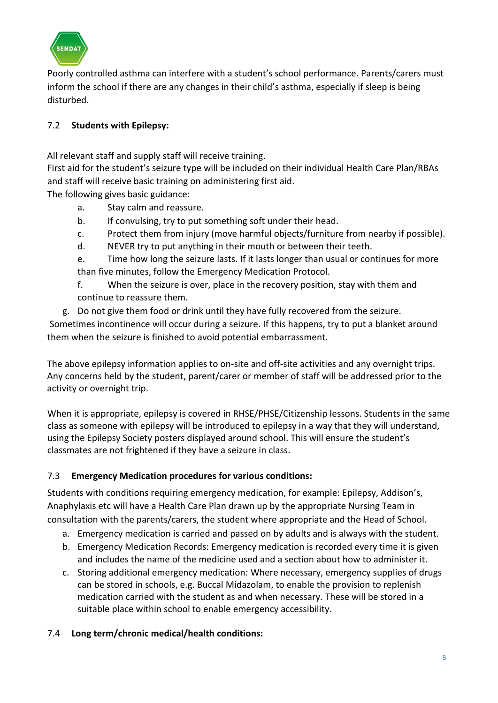

Poorly controlled asthma can interfere with a student's school performance. Parents/carers must inform the school if there are any changes in their child's asthma, especially if sleep is being disturbed.

# <span id="page-7-0"></span>7.2 **Students with Epilepsy:**

All relevant staff and supply staff will receive training.

First aid for the student's seizure type will be included on their individual Health Care Plan/RBAs and staff will receive basic training on administering first aid.

The following gives basic guidance:

- a. Stay calm and reassure.
- b. If convulsing, try to put something soft under their head.
- c. Protect them from injury (move harmful objects/furniture from nearby if possible).
- d. NEVER try to put anything in their mouth or between their teeth.

e. Time how long the seizure lasts. If it lasts longer than usual or continues for more than five minutes, follow the Emergency Medication Protocol.

- f. When the seizure is over, place in the recovery position, stay with them and continue to reassure them.
- g. Do not give them food or drink until they have fully recovered from the seizure.

Sometimes incontinence will occur during a seizure. If this happens, try to put a blanket around them when the seizure is finished to avoid potential embarrassment.

The above epilepsy information applies to on-site and off-site activities and any overnight trips. Any concerns held by the student, parent/carer or member of staff will be addressed prior to the activity or overnight trip.

When it is appropriate, epilepsy is covered in RHSE/PHSE/Citizenship lessons. Students in the same class as someone with epilepsy will be introduced to epilepsy in a way that they will understand, using the Epilepsy Society posters displayed around school. This will ensure the student's classmates are not frightened if they have a seizure in class.

# <span id="page-7-1"></span>7.3 **Emergency Medication procedures for various conditions:**

Students with conditions requiring emergency medication, for example: Epilepsy, Addison's, Anaphylaxis etc will have a Health Care Plan drawn up by the appropriate Nursing Team in consultation with the parents/carers, the student where appropriate and the Head of School.

- a. Emergency medication is carried and passed on by adults and is always with the student.
- b. Emergency Medication Records: Emergency medication is recorded every time it is given and includes the name of the medicine used and a section about how to administer it.
- c. Storing additional emergency medication: Where necessary, emergency supplies of drugs can be stored in schools, e.g. Buccal Midazolam, to enable the provision to replenish medication carried with the student as and when necessary. These will be stored in a suitable place within school to enable emergency accessibility.
- <span id="page-7-2"></span>7.4 **Long term/chronic medical/health conditions:**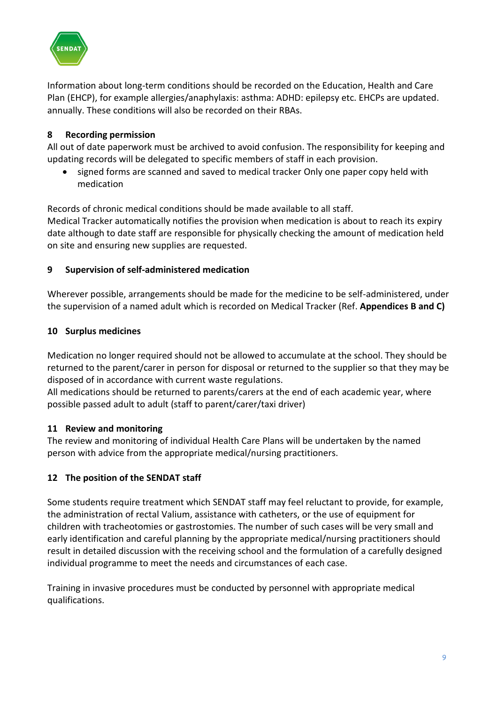

Information about long-term conditions should be recorded on the Education, Health and Care Plan (EHCP), for example allergies/anaphylaxis: asthma: ADHD: epilepsy etc. EHCPs are updated. annually. These conditions will also be recorded on their RBAs.

# <span id="page-8-0"></span>**8 Recording permission**

All out of date paperwork must be archived to avoid confusion. The responsibility for keeping and updating records will be delegated to specific members of staff in each provision.

• signed forms are scanned and saved to medical tracker Only one paper copy held with medication

Records of chronic medical conditions should be made available to all staff.

Medical Tracker automatically notifies the provision when medication is about to reach its expiry date although to date staff are responsible for physically checking the amount of medication held on site and ensuring new supplies are requested.

## <span id="page-8-1"></span>**9 Supervision of self-administered medication**

Wherever possible, arrangements should be made for the medicine to be self-administered, under the supervision of a named adult which is recorded on Medical Tracker (Ref. **Appendices B and C)**

## <span id="page-8-2"></span>**10 Surplus medicines**

Medication no longer required should not be allowed to accumulate at the school. They should be returned to the parent/carer in person for disposal or returned to the supplier so that they may be disposed of in accordance with current waste regulations.

All medications should be returned to parents/carers at the end of each academic year, where possible passed adult to adult (staff to parent/carer/taxi driver)

## <span id="page-8-3"></span>**11 Review and monitoring**

The review and monitoring of individual Health Care Plans will be undertaken by the named person with advice from the appropriate medical/nursing practitioners.

## <span id="page-8-4"></span>**12 The position of the SENDAT staff**

Some students require treatment which SENDAT staff may feel reluctant to provide, for example, the administration of rectal Valium, assistance with catheters, or the use of equipment for children with tracheotomies or gastrostomies. The number of such cases will be very small and early identification and careful planning by the appropriate medical/nursing practitioners should result in detailed discussion with the receiving school and the formulation of a carefully designed individual programme to meet the needs and circumstances of each case.

Training in invasive procedures must be conducted by personnel with appropriate medical qualifications.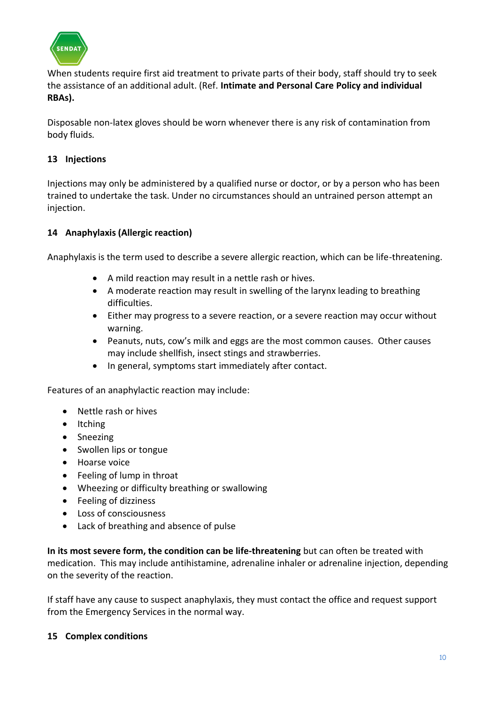

When students require first aid treatment to private parts of their body, staff should try to seek the assistance of an additional adult. (Ref. **Intimate and Personal Care Policy and individual RBAs).**

Disposable non-latex gloves should be worn whenever there is any risk of contamination from body fluids*.*

# <span id="page-9-0"></span>**13 Injections**

Injections may only be administered by a qualified nurse or doctor, or by a person who has been trained to undertake the task. Under no circumstances should an untrained person attempt an injection.

# <span id="page-9-1"></span>**14 Anaphylaxis (Allergic reaction)**

Anaphylaxis is the term used to describe a severe allergic reaction, which can be life-threatening.

- A mild reaction may result in a nettle rash or hives.
- A moderate reaction may result in swelling of the larynx leading to breathing difficulties.
- Either may progress to a severe reaction, or a severe reaction may occur without warning.
- Peanuts, nuts, cow's milk and eggs are the most common causes. Other causes may include shellfish, insect stings and strawberries.
- In general, symptoms start immediately after contact.

Features of an anaphylactic reaction may include:

- Nettle rash or hives
- Itching
- Sneezing
- Swollen lips or tongue
- Hoarse voice
- Feeling of lump in throat
- Wheezing or difficulty breathing or swallowing
- Feeling of dizziness
- Loss of consciousness
- Lack of breathing and absence of pulse

**In its most severe form, the condition can be life-threatening** but can often be treated with medication. This may include antihistamine, adrenaline inhaler or adrenaline injection, depending on the severity of the reaction.

If staff have any cause to suspect anaphylaxis, they must contact the office and request support from the Emergency Services in the normal way.

## <span id="page-9-2"></span>**15 Complex conditions**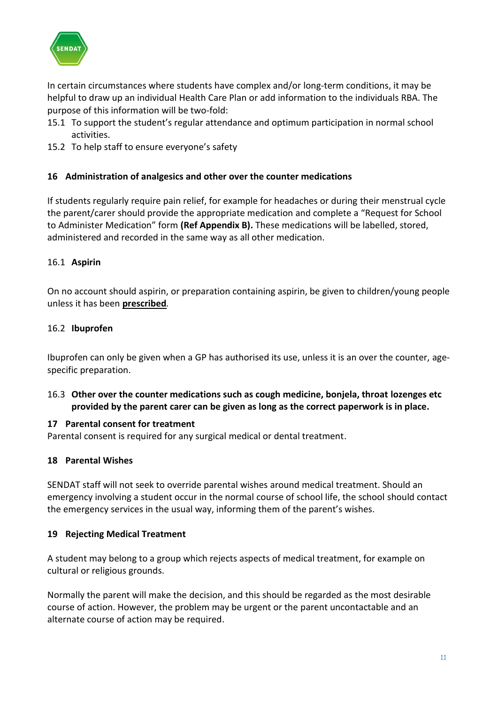

In certain circumstances where students have complex and/or long-term conditions, it may be helpful to draw up an individual Health Care Plan or add information to the individuals RBA. The purpose of this information will be two-fold:

- 15.1 To support the student's regular attendance and optimum participation in normal school activities.
- 15.2 To help staff to ensure everyone's safety

## <span id="page-10-0"></span>**16 Administration of analgesics and other over the counter medications**

If students regularly require pain relief, for example for headaches or during their menstrual cycle the parent/carer should provide the appropriate medication and complete a "Request for School to Administer Medication" form **(Ref Appendix B).** These medications will be labelled, stored, administered and recorded in the same way as all other medication.

#### <span id="page-10-1"></span>16.1 **Aspirin**

On no account should aspirin, or preparation containing aspirin, be given to children/young people unless it has been **prescribed***.*

#### <span id="page-10-2"></span>16.2 **Ibuprofen**

Ibuprofen can only be given when a GP has authorised its use, unless it is an over the counter, agespecific preparation.

<span id="page-10-3"></span>16.3 **Other over the counter medications such as cough medicine, bonjela, throat lozenges etc provided by the parent carer can be given as long as the correct paperwork is in place.**

#### <span id="page-10-4"></span>**17 Parental consent for treatment**

Parental consent is required for any surgical medical or dental treatment.

## <span id="page-10-5"></span>**18 Parental Wishes**

SENDAT staff will not seek to override parental wishes around medical treatment. Should an emergency involving a student occur in the normal course of school life, the school should contact the emergency services in the usual way, informing them of the parent's wishes.

#### <span id="page-10-6"></span>**19 Rejecting Medical Treatment**

A student may belong to a group which rejects aspects of medical treatment, for example on cultural or religious grounds.

Normally the parent will make the decision, and this should be regarded as the most desirable course of action. However, the problem may be urgent or the parent uncontactable and an alternate course of action may be required.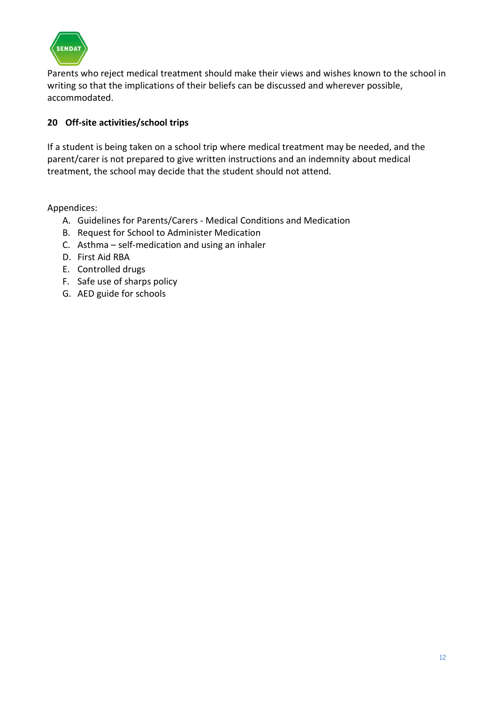

Parents who reject medical treatment should make their views and wishes known to the school in writing so that the implications of their beliefs can be discussed and wherever possible, accommodated.

# <span id="page-11-0"></span>**20 Off-site activities/school trips**

If a student is being taken on a school trip where medical treatment may be needed, and the parent/carer is not prepared to give written instructions and an indemnity about medical treatment, the school may decide that the student should not attend*.* 

Appendices:

- A. Guidelines for Parents/Carers Medical Conditions and Medication
- B. Request for School to Administer Medication
- C. Asthma self-medication and using an inhaler
- D. First Aid RBA
- E. Controlled drugs
- F. Safe use of sharps policy
- G. AED guide for schools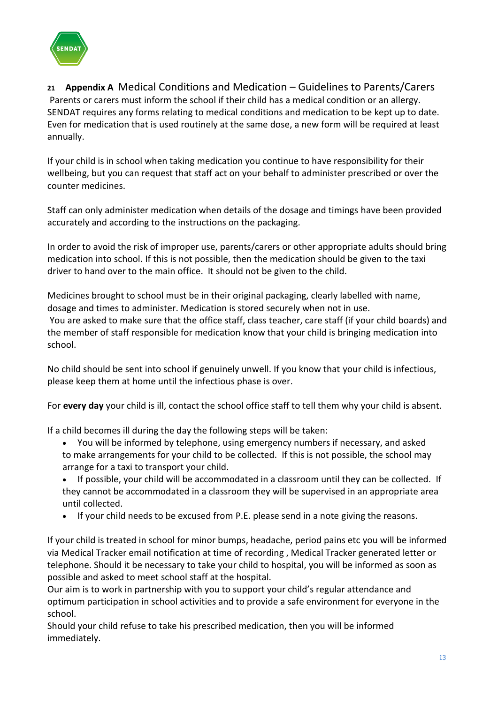

<span id="page-12-0"></span>**<sup>21</sup> Appendix A** Medical Conditions and Medication – Guidelines to Parents/Carers Parents or carers must inform the school if their child has a medical condition or an allergy. SENDAT requires any forms relating to medical conditions and medication to be kept up to date. Even for medication that is used routinely at the same dose, a new form will be required at least annually.

If your child is in school when taking medication you continue to have responsibility for their wellbeing, but you can request that staff act on your behalf to administer prescribed or over the counter medicines.

Staff can only administer medication when details of the dosage and timings have been provided accurately and according to the instructions on the packaging.

In order to avoid the risk of improper use, parents/carers or other appropriate adults should bring medication into school. If this is not possible, then the medication should be given to the taxi driver to hand over to the main office. It should not be given to the child.

Medicines brought to school must be in their original packaging, clearly labelled with name, dosage and times to administer. Medication is stored securely when not in use. You are asked to make sure that the office staff, class teacher, care staff (if your child boards) and the member of staff responsible for medication know that your child is bringing medication into school.

No child should be sent into school if genuinely unwell. If you know that your child is infectious, please keep them at home until the infectious phase is over.

For **every day** your child is ill, contact the school office staff to tell them why your child is absent.

If a child becomes ill during the day the following steps will be taken:

- You will be informed by telephone, using emergency numbers if necessary, and asked to make arrangements for your child to be collected. If this is not possible, the school may arrange for a taxi to transport your child.
- If possible, your child will be accommodated in a classroom until they can be collected. If they cannot be accommodated in a classroom they will be supervised in an appropriate area until collected.
- If your child needs to be excused from P.E. please send in a note giving the reasons.

If your child is treated in school for minor bumps, headache, period pains etc you will be informed via Medical Tracker email notification at time of recording , Medical Tracker generated letter or telephone. Should it be necessary to take your child to hospital, you will be informed as soon as possible and asked to meet school staff at the hospital.

Our aim is to work in partnership with you to support your child's regular attendance and optimum participation in school activities and to provide a safe environment for everyone in the school.

Should your child refuse to take his prescribed medication, then you will be informed immediately.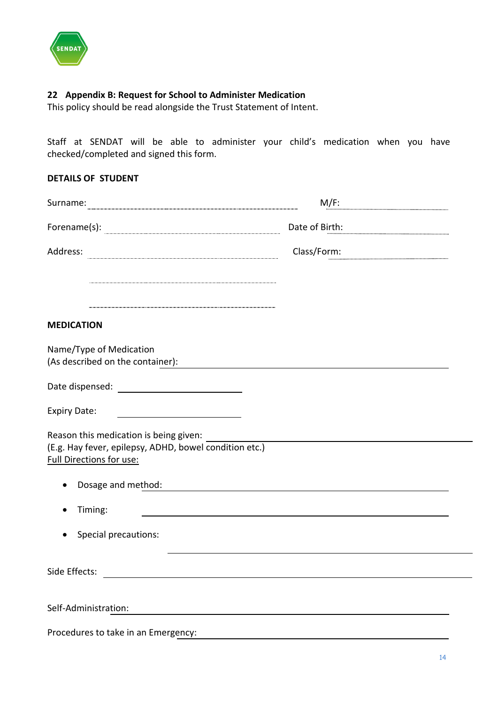

#### <span id="page-13-0"></span>**22 Appendix B: Request for School to Administer Medication**

This policy should be read alongside the Trust Statement of Intent.

Staff at SENDAT will be able to administer your child's medication when you have checked/completed and signed this form.

| Surname:                                                                                                                               | $M/F$ :        |  |
|----------------------------------------------------------------------------------------------------------------------------------------|----------------|--|
| $\textbf{Forename(s):}$                                                                                                                | Date of Birth: |  |
| Address:                                                                                                                               | Class/Form:    |  |
|                                                                                                                                        |                |  |
|                                                                                                                                        |                |  |
| <b>MEDICATION</b>                                                                                                                      |                |  |
| Name/Type of Medication<br>(As described on the container):                                                                            |                |  |
| Date dispensed: Notified that the state of the state of the state of the state of the state of the state of the                        |                |  |
| <b>Expiry Date:</b><br><u> 1989 - Johann Barbara, martxa alemaniar a</u>                                                               |                |  |
| Reason this medication is being given:<br>(E.g. Hay fever, epilepsy, ADHD, bowel condition etc.)<br><b>Full Directions for use:</b>    |                |  |
| Dosage and method:                                                                                                                     |                |  |
| Timing:                                                                                                                                |                |  |
| Special precautions:<br>$\bullet$                                                                                                      |                |  |
| Side Effects:<br><u> 1989 - Johann Harry Barn, mars and de Branch and de Branch and de Branch and de Branch and de Branch and de B</u> |                |  |
| Self-Administration:                                                                                                                   |                |  |
|                                                                                                                                        |                |  |

Procedures to take in an Emergency: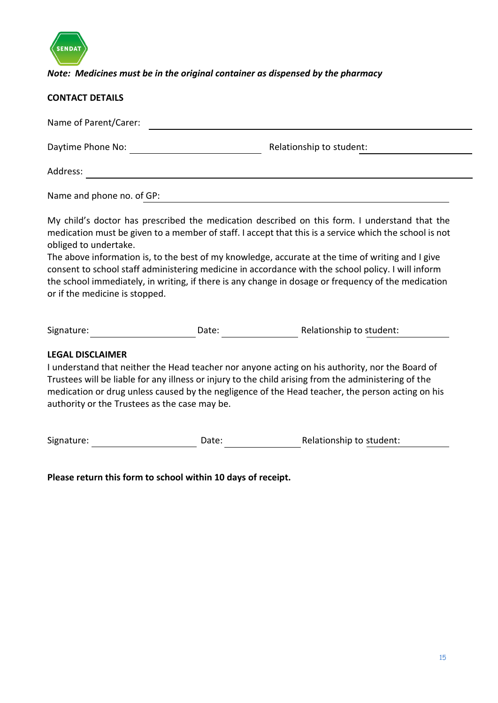

# *Note: Medicines must be in the original container as dispensed by the pharmacy*

| <b>CONTACT DETAILS</b>                                                                                                                                                                                                                                                                                                                                                                                                                                                                                                                                                               |       |                          |  |  |  |  |  |
|--------------------------------------------------------------------------------------------------------------------------------------------------------------------------------------------------------------------------------------------------------------------------------------------------------------------------------------------------------------------------------------------------------------------------------------------------------------------------------------------------------------------------------------------------------------------------------------|-------|--------------------------|--|--|--|--|--|
| Name of Parent/Carer:                                                                                                                                                                                                                                                                                                                                                                                                                                                                                                                                                                |       |                          |  |  |  |  |  |
| Relationship to student:                                                                                                                                                                                                                                                                                                                                                                                                                                                                                                                                                             |       |                          |  |  |  |  |  |
| Address:<br><u> Alexandria de la contrada de la contrada de la contrada de la contrada de la contrada de la contrada de la c</u>                                                                                                                                                                                                                                                                                                                                                                                                                                                     |       |                          |  |  |  |  |  |
| Name and phone no. of GP:                                                                                                                                                                                                                                                                                                                                                                                                                                                                                                                                                            |       |                          |  |  |  |  |  |
| My child's doctor has prescribed the medication described on this form. I understand that the<br>medication must be given to a member of staff. I accept that this is a service which the school is not<br>obliged to undertake.<br>The above information is, to the best of my knowledge, accurate at the time of writing and I give<br>consent to school staff administering medicine in accordance with the school policy. I will inform<br>the school immediately, in writing, if there is any change in dosage or frequency of the medication<br>or if the medicine is stopped. |       |                          |  |  |  |  |  |
| Signature: Signature:                                                                                                                                                                                                                                                                                                                                                                                                                                                                                                                                                                | Date: | Relationship to student: |  |  |  |  |  |
| <b>LEGAL DISCLAIMER</b><br>I understand that neither the Head teacher nor anyone acting on his authority, nor the Board of<br>Trustees will be liable for any illness or injury to the child arising from the administering of the<br>medication or drug unless caused by the negligence of the Head teacher, the person acting on his<br>authority or the Trustees as the case may be.                                                                                                                                                                                              |       |                          |  |  |  |  |  |
| Signature:                                                                                                                                                                                                                                                                                                                                                                                                                                                                                                                                                                           | Date: | Relationship to student: |  |  |  |  |  |

**Please return this form to school within 10 days of receipt.**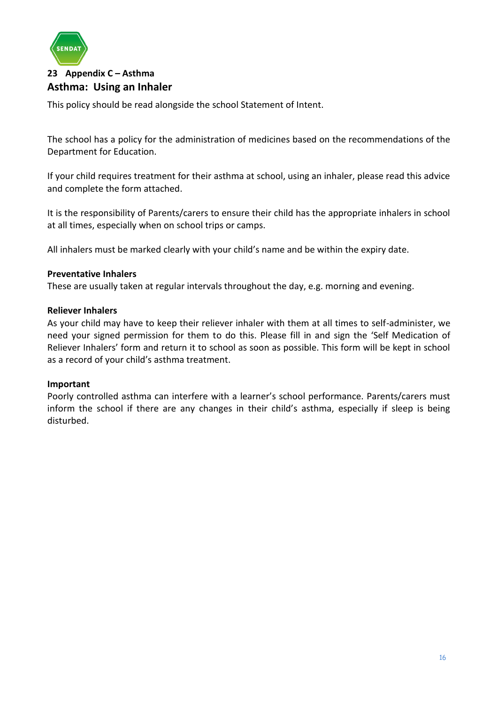

# <span id="page-15-0"></span>**23 Appendix C – Asthma Asthma: Using an Inhaler**

This policy should be read alongside the school Statement of Intent.

The school has a policy for the administration of medicines based on the recommendations of the Department for Education.

If your child requires treatment for their asthma at school, using an inhaler, please read this advice and complete the form attached.

It is the responsibility of Parents/carers to ensure their child has the appropriate inhalers in school at all times, especially when on school trips or camps.

All inhalers must be marked clearly with your child's name and be within the expiry date.

#### **Preventative Inhalers**

These are usually taken at regular intervals throughout the day, e.g. morning and evening.

#### **Reliever Inhalers**

As your child may have to keep their reliever inhaler with them at all times to self-administer, we need your signed permission for them to do this. Please fill in and sign the 'Self Medication of Reliever Inhalers' form and return it to school as soon as possible. This form will be kept in school as a record of your child's asthma treatment.

#### **Important**

Poorly controlled asthma can interfere with a learner's school performance. Parents/carers must inform the school if there are any changes in their child's asthma, especially if sleep is being disturbed.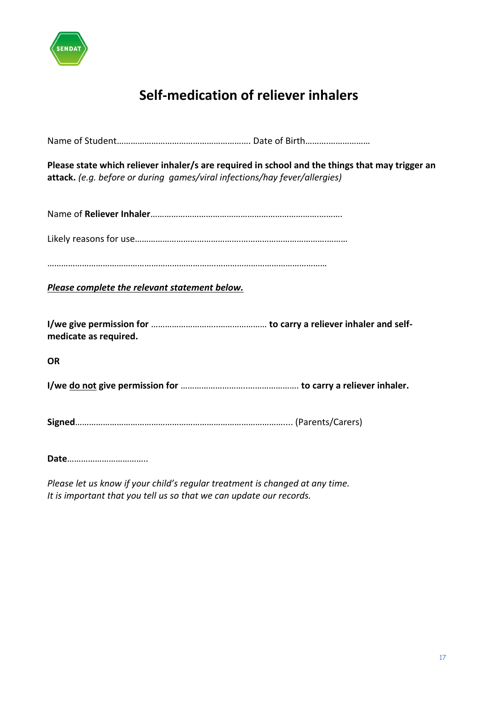

# **Self-medication of reliever inhalers**

Name of Student…………………………………………………. Date of Birth……….………………

**Please state which reliever inhaler/s are required in school and the things that may trigger an attack.** *(e.g. before or during games/viral infections/hay fever/allergies)*

Name of **Reliever Inhaler**……………………………………………………………….……….

Likely reasons for use……………………………………….……………………………….………

……………………………………………………………….…………………………………………

*Please complete the relevant statement below.*

**I/we give permission for** ………………………..………………… **to carry a reliever inhaler and selfmedicate as required.**

**OR**

**I/we do not give permission for** ………………………..…………………. **to carry a reliever inhaler.**

**Signed**……………………………………………………………………………….... (Parents/Carers)

**Date**……………………………..

*Please let us know if your child's regular treatment is changed at any time. It is important that you tell us so that we can update our records.*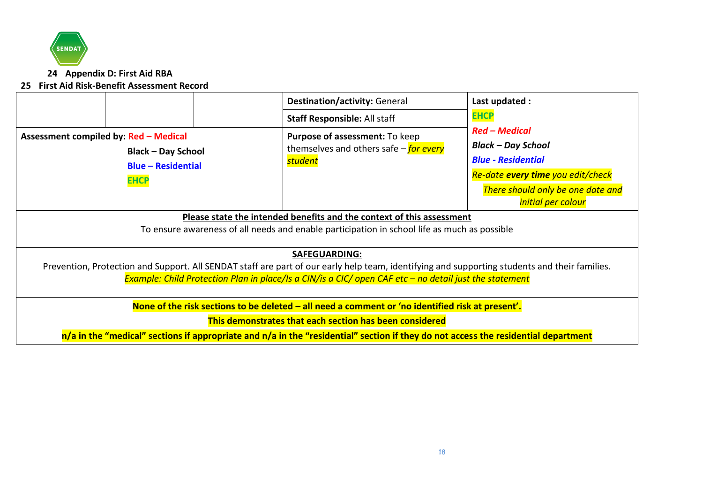

**24 Appendix D: First Aid RBA**

#### **25 First Aid Risk-Benefit Assessment Record**

<span id="page-17-1"></span><span id="page-17-0"></span>

|                                                                                                                                               | <b>Destination/activity: General</b>                                                              | Last updated :                    |  |  |  |  |
|-----------------------------------------------------------------------------------------------------------------------------------------------|---------------------------------------------------------------------------------------------------|-----------------------------------|--|--|--|--|
|                                                                                                                                               | <b>Staff Responsible: All staff</b>                                                               | <b>EHCP</b>                       |  |  |  |  |
| Assessment compiled by: Red - Medical                                                                                                         | Purpose of assessment: To keep<br>themselves and others safe - <i>for every</i><br><b>student</b> | <b>Red – Medical</b>              |  |  |  |  |
| <b>Black - Day School</b>                                                                                                                     |                                                                                                   | <b>Black – Day School</b>         |  |  |  |  |
| <b>Blue - Residential</b>                                                                                                                     |                                                                                                   | <b>Blue - Residential</b>         |  |  |  |  |
| <b>EHCP</b>                                                                                                                                   |                                                                                                   | Re-date every time you edit/check |  |  |  |  |
|                                                                                                                                               |                                                                                                   | There should only be one date and |  |  |  |  |
|                                                                                                                                               |                                                                                                   | <i>initial per colour</i>         |  |  |  |  |
|                                                                                                                                               | Please state the intended benefits and the context of this assessment                             |                                   |  |  |  |  |
|                                                                                                                                               | To ensure awareness of all needs and enable participation in school life as much as possible      |                                   |  |  |  |  |
|                                                                                                                                               | <b>SAFEGUARDING:</b>                                                                              |                                   |  |  |  |  |
| Prevention, Protection and Support. All SENDAT staff are part of our early help team, identifying and supporting students and their families. |                                                                                                   |                                   |  |  |  |  |
| Example: Child Protection Plan in place/Is a CIN/is a CIC/ open CAF etc $-$ no detail just the statement                                      |                                                                                                   |                                   |  |  |  |  |
| None of the risk sections to be deleted – all need a comment or 'no identified risk at present'.                                              |                                                                                                   |                                   |  |  |  |  |
| This demonstrates that each section has been considered                                                                                       |                                                                                                   |                                   |  |  |  |  |
| $n/a$ in the "medical" sections if appropriate and $n/a$ in the "residential" section if they do not access the residential department        |                                                                                                   |                                   |  |  |  |  |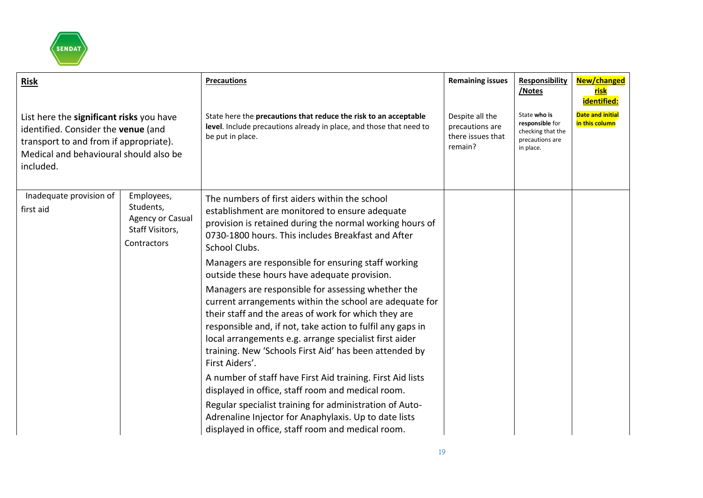

| <b>Risk</b>                                                                                                                                                                      |                                                                               | <b>Precautions</b>                                                                                                                                                                                                                                                                                                                                                        | <b>Remaining issues</b>                                            | <b>Responsibility</b><br>/Notes                                                      | New/changed<br><u>risk</u><br>identified: |
|----------------------------------------------------------------------------------------------------------------------------------------------------------------------------------|-------------------------------------------------------------------------------|---------------------------------------------------------------------------------------------------------------------------------------------------------------------------------------------------------------------------------------------------------------------------------------------------------------------------------------------------------------------------|--------------------------------------------------------------------|--------------------------------------------------------------------------------------|-------------------------------------------|
| List here the significant risks you have<br>identified. Consider the venue (and<br>transport to and from if appropriate).<br>Medical and behavioural should also be<br>included. |                                                                               | State here the precautions that reduce the risk to an acceptable<br>level. Include precautions already in place, and those that need to<br>be put in place.                                                                                                                                                                                                               | Despite all the<br>precautions are<br>there issues that<br>remain? | State who is<br>responsible for<br>checking that the<br>precautions are<br>in place. | <b>Date and initial</b><br>in this column |
| Inadequate provision of<br>first aid                                                                                                                                             | Employees,<br>Students,<br>Agency or Casual<br>Staff Visitors,<br>Contractors | The numbers of first aiders within the school<br>establishment are monitored to ensure adequate<br>provision is retained during the normal working hours of<br>0730-1800 hours. This includes Breakfast and After<br>School Clubs.                                                                                                                                        |                                                                    |                                                                                      |                                           |
|                                                                                                                                                                                  |                                                                               | Managers are responsible for ensuring staff working<br>outside these hours have adequate provision.                                                                                                                                                                                                                                                                       |                                                                    |                                                                                      |                                           |
|                                                                                                                                                                                  |                                                                               | Managers are responsible for assessing whether the<br>current arrangements within the school are adequate for<br>their staff and the areas of work for which they are<br>responsible and, if not, take action to fulfil any gaps in<br>local arrangements e.g. arrange specialist first aider<br>training. New 'Schools First Aid' has been attended by<br>First Aiders'. |                                                                    |                                                                                      |                                           |
|                                                                                                                                                                                  |                                                                               | A number of staff have First Aid training. First Aid lists<br>displayed in office, staff room and medical room.                                                                                                                                                                                                                                                           |                                                                    |                                                                                      |                                           |
|                                                                                                                                                                                  |                                                                               | Regular specialist training for administration of Auto-<br>Adrenaline Injector for Anaphylaxis. Up to date lists<br>displayed in office, staff room and medical room.                                                                                                                                                                                                     |                                                                    |                                                                                      |                                           |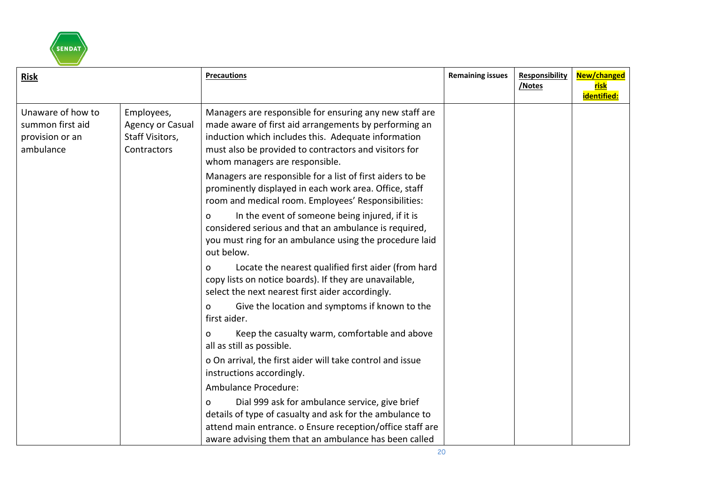

| <b>Risk</b>                                                           |                                                                         | <b>Precautions</b>                                                                                                                                                                                                                                                 | <b>Remaining issues</b> | Responsibility<br>/Notes | New/changed<br><u>risk</u><br>identified: |
|-----------------------------------------------------------------------|-------------------------------------------------------------------------|--------------------------------------------------------------------------------------------------------------------------------------------------------------------------------------------------------------------------------------------------------------------|-------------------------|--------------------------|-------------------------------------------|
| Unaware of how to<br>summon first aid<br>provision or an<br>ambulance | Employees,<br><b>Agency or Casual</b><br>Staff Visitors,<br>Contractors | Managers are responsible for ensuring any new staff are<br>made aware of first aid arrangements by performing an<br>induction which includes this. Adequate information<br>must also be provided to contractors and visitors for<br>whom managers are responsible. |                         |                          |                                           |
|                                                                       |                                                                         | Managers are responsible for a list of first aiders to be<br>prominently displayed in each work area. Office, staff<br>room and medical room. Employees' Responsibilities:                                                                                         |                         |                          |                                           |
|                                                                       |                                                                         | In the event of someone being injured, if it is<br>0<br>considered serious and that an ambulance is required,<br>you must ring for an ambulance using the procedure laid<br>out below.                                                                             |                         |                          |                                           |
|                                                                       |                                                                         | Locate the nearest qualified first aider (from hard<br>o<br>copy lists on notice boards). If they are unavailable,<br>select the next nearest first aider accordingly.                                                                                             |                         |                          |                                           |
|                                                                       |                                                                         | Give the location and symptoms if known to the<br>0<br>first aider.                                                                                                                                                                                                |                         |                          |                                           |
|                                                                       |                                                                         | Keep the casualty warm, comfortable and above<br>0<br>all as still as possible.                                                                                                                                                                                    |                         |                          |                                           |
|                                                                       |                                                                         | o On arrival, the first aider will take control and issue<br>instructions accordingly.                                                                                                                                                                             |                         |                          |                                           |
|                                                                       |                                                                         | Ambulance Procedure:                                                                                                                                                                                                                                               |                         |                          |                                           |
|                                                                       |                                                                         | Dial 999 ask for ambulance service, give brief<br>0<br>details of type of casualty and ask for the ambulance to<br>attend main entrance. o Ensure reception/office staff are<br>aware advising them that an ambulance has been called                              |                         |                          |                                           |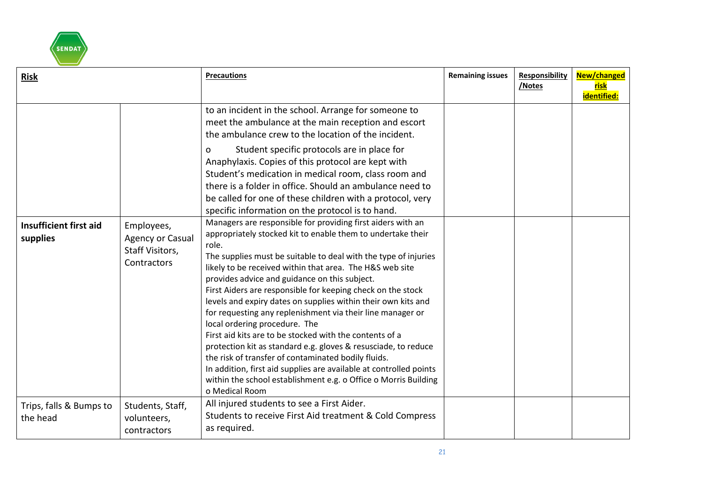

| <b>Risk</b>                         |                                                                         | <b>Precautions</b>                                                                                                                                                                                                                                                                                                                                                                                                                                                                                                                                                                                                                                                                                                                                                                                                                                                                                                                                                                                                                                                                                                                                                                                                                                                                                                                                                                                                     | <b>Remaining issues</b> | <b>Responsibility</b><br>/Notes | New/changed<br><u>risk</u><br>identified: |
|-------------------------------------|-------------------------------------------------------------------------|------------------------------------------------------------------------------------------------------------------------------------------------------------------------------------------------------------------------------------------------------------------------------------------------------------------------------------------------------------------------------------------------------------------------------------------------------------------------------------------------------------------------------------------------------------------------------------------------------------------------------------------------------------------------------------------------------------------------------------------------------------------------------------------------------------------------------------------------------------------------------------------------------------------------------------------------------------------------------------------------------------------------------------------------------------------------------------------------------------------------------------------------------------------------------------------------------------------------------------------------------------------------------------------------------------------------------------------------------------------------------------------------------------------------|-------------------------|---------------------------------|-------------------------------------------|
| Insufficient first aid<br>supplies  | Employees,<br><b>Agency or Casual</b><br>Staff Visitors,<br>Contractors | to an incident in the school. Arrange for someone to<br>meet the ambulance at the main reception and escort<br>the ambulance crew to the location of the incident.<br>Student specific protocols are in place for<br>0<br>Anaphylaxis. Copies of this protocol are kept with<br>Student's medication in medical room, class room and<br>there is a folder in office. Should an ambulance need to<br>be called for one of these children with a protocol, very<br>specific information on the protocol is to hand.<br>Managers are responsible for providing first aiders with an<br>appropriately stocked kit to enable them to undertake their<br>role.<br>The supplies must be suitable to deal with the type of injuries<br>likely to be received within that area. The H&S web site<br>provides advice and guidance on this subject.<br>First Aiders are responsible for keeping check on the stock<br>levels and expiry dates on supplies within their own kits and<br>for requesting any replenishment via their line manager or<br>local ordering procedure. The<br>First aid kits are to be stocked with the contents of a<br>protection kit as standard e.g. gloves & resusciade, to reduce<br>the risk of transfer of contaminated bodily fluids.<br>In addition, first aid supplies are available at controlled points<br>within the school establishment e.g. o Office o Morris Building<br>o Medical Room |                         |                                 |                                           |
| Trips, falls & Bumps to<br>the head | Students, Staff,<br>volunteers,<br>contractors                          | All injured students to see a First Aider.<br>Students to receive First Aid treatment & Cold Compress<br>as required.                                                                                                                                                                                                                                                                                                                                                                                                                                                                                                                                                                                                                                                                                                                                                                                                                                                                                                                                                                                                                                                                                                                                                                                                                                                                                                  |                         |                                 |                                           |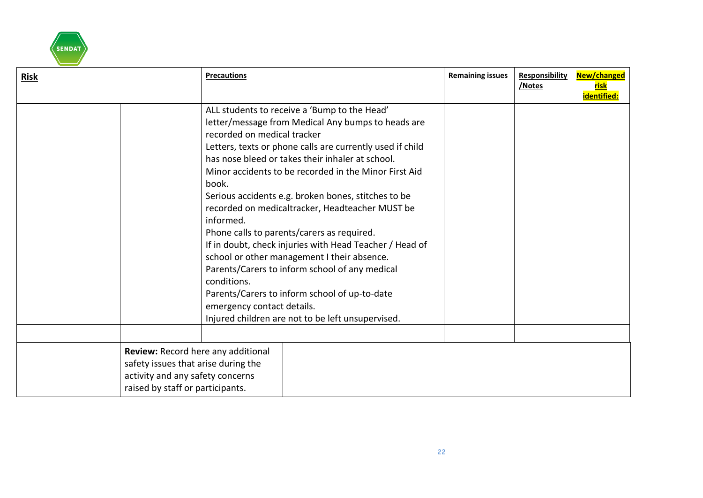

| <b>Risk</b> |                                                                                                                                                   | <b>Precautions</b>                                                                             |                                                                                                                                                                                                                                                                                                                                                                                                                                                                                                                                                                                                                                                                                                        | <b>Remaining issues</b> | <b>Responsibility</b><br>/Notes | New/changed<br><u>risk</u><br>identified: |
|-------------|---------------------------------------------------------------------------------------------------------------------------------------------------|------------------------------------------------------------------------------------------------|--------------------------------------------------------------------------------------------------------------------------------------------------------------------------------------------------------------------------------------------------------------------------------------------------------------------------------------------------------------------------------------------------------------------------------------------------------------------------------------------------------------------------------------------------------------------------------------------------------------------------------------------------------------------------------------------------------|-------------------------|---------------------------------|-------------------------------------------|
|             |                                                                                                                                                   | recorded on medical tracker<br>book.<br>informed.<br>conditions.<br>emergency contact details. | ALL students to receive a 'Bump to the Head'<br>letter/message from Medical Any bumps to heads are<br>Letters, texts or phone calls are currently used if child<br>has nose bleed or takes their inhaler at school.<br>Minor accidents to be recorded in the Minor First Aid<br>Serious accidents e.g. broken bones, stitches to be<br>recorded on medicaltracker, Headteacher MUST be<br>Phone calls to parents/carers as required.<br>If in doubt, check injuries with Head Teacher / Head of<br>school or other management I their absence.<br>Parents/Carers to inform school of any medical<br>Parents/Carers to inform school of up-to-date<br>Injured children are not to be left unsupervised. |                         |                                 |                                           |
|             | Review: Record here any additional<br>safety issues that arise during the<br>activity and any safety concerns<br>raised by staff or participants. |                                                                                                |                                                                                                                                                                                                                                                                                                                                                                                                                                                                                                                                                                                                                                                                                                        |                         |                                 |                                           |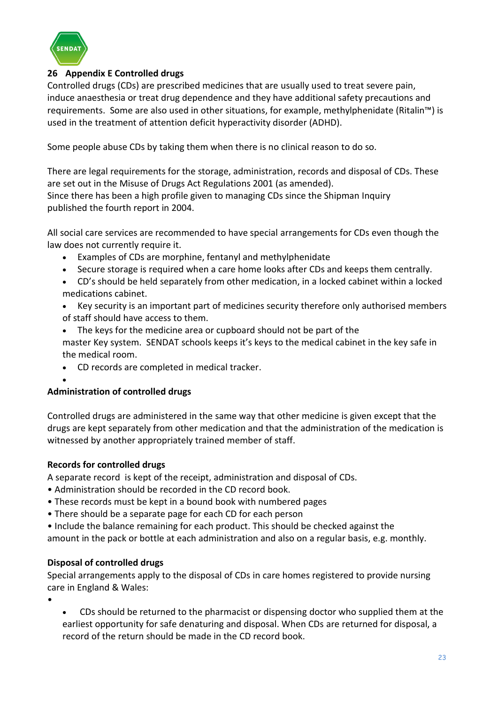

# <span id="page-22-0"></span>**26 Appendix E Controlled drugs**

Controlled drugs (CDs) are prescribed medicines that are usually used to treat severe pain, induce anaesthesia or treat drug dependence and they have additional safety precautions and requirements. Some are also used in other situations, for example, methylphenidate (Ritalin™) is used in the treatment of attention deficit hyperactivity disorder (ADHD).

Some people abuse CDs by taking them when there is no clinical reason to do so.

There are legal requirements for the storage, administration, records and disposal of CDs. These are set out in the Misuse of Drugs Act Regulations 2001 (as amended). Since there has been a high profile given to managing CDs since the Shipman Inquiry published the fourth report in 2004.

All social care services are recommended to have special arrangements for CDs even though the law does not currently require it.

- Examples of CDs are morphine, fentanyl and methylphenidate
- Secure storage is required when a care home looks after CDs and keeps them centrally.
- CD's should be held separately from other medication, in a locked cabinet within a locked medications cabinet.
- Key security is an important part of medicines security therefore only authorised members of staff should have access to them.
- The keys for the medicine area or cupboard should not be part of the master Key system. SENDAT schools keeps it's keys to the medical cabinet in the key safe in the medical room.
- CD records are completed in medical tracker.
- 

•

## **Administration of controlled drugs**

Controlled drugs are administered in the same way that other medicine is given except that the drugs are kept separately from other medication and that the administration of the medication is witnessed by another appropriately trained member of staff.

## **Records for controlled drugs**

A separate record is kept of the receipt, administration and disposal of CDs.

- Administration should be recorded in the CD record book.
- These records must be kept in a bound book with numbered pages
- There should be a separate page for each CD for each person
- Include the balance remaining for each product. This should be checked against the amount in the pack or bottle at each administration and also on a regular basis, e.g. monthly.

## **Disposal of controlled drugs**

Special arrangements apply to the disposal of CDs in care homes registered to provide nursing care in England & Wales:

•

• CDs should be returned to the pharmacist or dispensing doctor who supplied them at the earliest opportunity for safe denaturing and disposal. When CDs are returned for disposal, a record of the return should be made in the CD record book.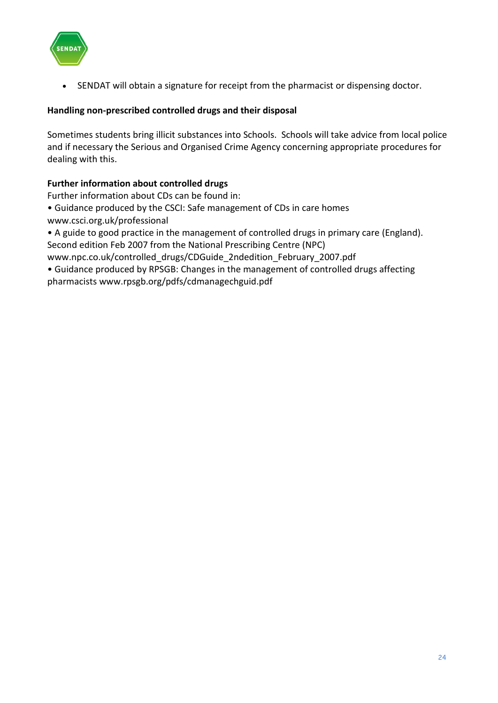

SENDAT will obtain a signature for receipt from the pharmacist or dispensing doctor.

# **Handling non-prescribed controlled drugs and their disposal**

Sometimes students bring illicit substances into Schools. Schools will take advice from local police and if necessary the Serious and Organised Crime Agency concerning appropriate procedures for dealing with this.

# **Further information about controlled drugs**

Further information about CDs can be found in:

- Guidance produced by the CSCI: Safe management of CDs in care homes
- www.csci.org.uk/professional

• A guide to good practice in the management of controlled drugs in primary care (England). Second edition Feb 2007 from the National Prescribing Centre (NPC)

www.npc.co.uk/controlled\_drugs/CDGuide\_2ndedition\_February\_2007.pdf

• Guidance produced by RPSGB: Changes in the management of controlled drugs affecting pharmacists www.rpsgb.org/pdfs/cdmanagechguid.pdf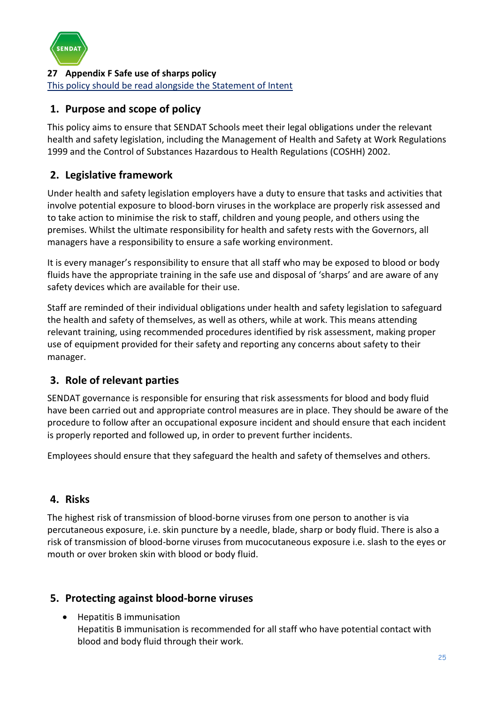

<span id="page-24-0"></span>**27 Appendix F Safe use of sharps policy** This policy should be read alongside the Statement of Intent

# **1. Purpose and scope of policy**

This policy aims to ensure that SENDAT Schools meet their legal obligations under the relevant health and safety legislation, including the Management of Health and Safety at Work Regulations 1999 and the Control of Substances Hazardous to Health Regulations (COSHH) 2002.

# **2. Legislative framework**

Under health and safety legislation employers have a duty to ensure that tasks and activities that involve potential exposure to blood-born viruses in the workplace are properly risk assessed and to take action to minimise the risk to staff, children and young people, and others using the premises. Whilst the ultimate responsibility for health and safety rests with the Governors, all managers have a responsibility to ensure a safe working environment.

It is every manager's responsibility to ensure that all staff who may be exposed to blood or body fluids have the appropriate training in the safe use and disposal of 'sharps' and are aware of any safety devices which are available for their use.

Staff are reminded of their individual obligations under health and safety legislation to safeguard the health and safety of themselves, as well as others, while at work. This means attending relevant training, using recommended procedures identified by risk assessment, making proper use of equipment provided for their safety and reporting any concerns about safety to their manager.

# **3. Role of relevant parties**

SENDAT governance is responsible for ensuring that risk assessments for blood and body fluid have been carried out and appropriate control measures are in place. They should be aware of the procedure to follow after an occupational exposure incident and should ensure that each incident is properly reported and followed up, in order to prevent further incidents.

Employees should ensure that they safeguard the health and safety of themselves and others.

# **4. Risks**

The highest risk of transmission of blood-borne viruses from one person to another is via percutaneous exposure, i.e. skin puncture by a needle, blade, sharp or body fluid. There is also a risk of transmission of blood-borne viruses from mucocutaneous exposure i.e. slash to the eyes or mouth or over broken skin with blood or body fluid.

# **5. Protecting against blood-borne viruses**

• Hepatitis B immunisation Hepatitis B immunisation is recommended for all staff who have potential contact with blood and body fluid through their work.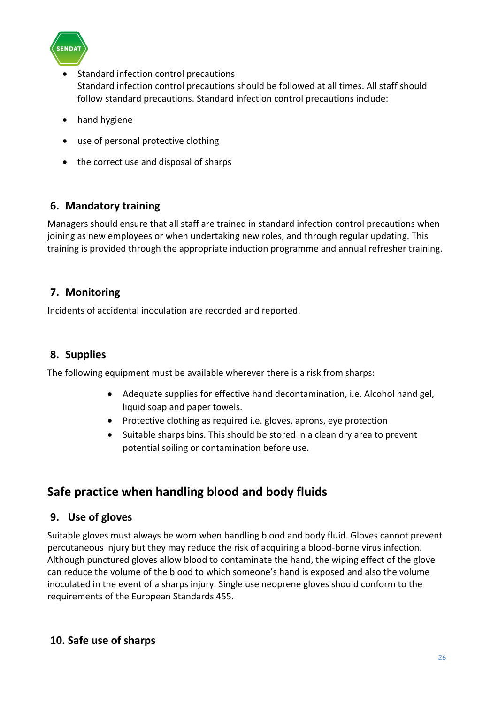

- Standard infection control precautions Standard infection control precautions should be followed at all times. All staff should follow standard precautions. Standard infection control precautions include:
- hand hygiene
- use of personal protective clothing
- the correct use and disposal of sharps

# **6. Mandatory training**

Managers should ensure that all staff are trained in standard infection control precautions when joining as new employees or when undertaking new roles, and through regular updating. This training is provided through the appropriate induction programme and annual refresher training.

# **7. Monitoring**

Incidents of accidental inoculation are recorded and reported.

# **8. Supplies**

The following equipment must be available wherever there is a risk from sharps:

- Adequate supplies for effective hand decontamination, i.e. Alcohol hand gel, liquid soap and paper towels.
- Protective clothing as required i.e. gloves, aprons, eye protection
- Suitable sharps bins. This should be stored in a clean dry area to prevent potential soiling or contamination before use.

# **Safe practice when handling blood and body fluids**

# **9. Use of gloves**

Suitable gloves must always be worn when handling blood and body fluid. Gloves cannot prevent percutaneous injury but they may reduce the risk of acquiring a blood-borne virus infection. Although punctured gloves allow blood to contaminate the hand, the wiping effect of the glove can reduce the volume of the blood to which someone's hand is exposed and also the volume inoculated in the event of a sharps injury. Single use neoprene gloves should conform to the requirements of the European Standards 455.

# **10. Safe use of sharps**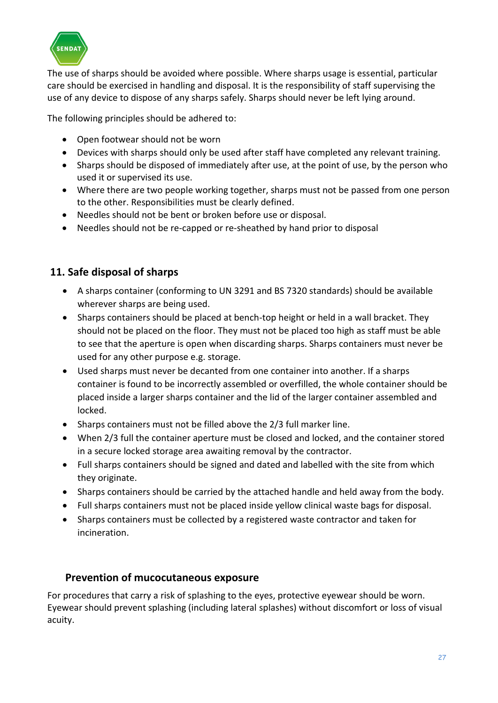

The use of sharps should be avoided where possible. Where sharps usage is essential, particular care should be exercised in handling and disposal. It is the responsibility of staff supervising the use of any device to dispose of any sharps safely. Sharps should never be left lying around.

The following principles should be adhered to:

- Open footwear should not be worn
- Devices with sharps should only be used after staff have completed any relevant training.
- Sharps should be disposed of immediately after use, at the point of use, by the person who used it or supervised its use.
- Where there are two people working together, sharps must not be passed from one person to the other. Responsibilities must be clearly defined.
- Needles should not be bent or broken before use or disposal.
- Needles should not be re-capped or re-sheathed by hand prior to disposal

# **11. Safe disposal of sharps**

- A sharps container (conforming to UN 3291 and BS 7320 standards) should be available wherever sharps are being used.
- Sharps containers should be placed at bench-top height or held in a wall bracket. They should not be placed on the floor. They must not be placed too high as staff must be able to see that the aperture is open when discarding sharps. Sharps containers must never be used for any other purpose e.g. storage.
- Used sharps must never be decanted from one container into another. If a sharps container is found to be incorrectly assembled or overfilled, the whole container should be placed inside a larger sharps container and the lid of the larger container assembled and locked.
- Sharps containers must not be filled above the 2/3 full marker line.
- When 2/3 full the container aperture must be closed and locked, and the container stored in a secure locked storage area awaiting removal by the contractor.
- Full sharps containers should be signed and dated and labelled with the site from which they originate.
- Sharps containers should be carried by the attached handle and held away from the body.
- Full sharps containers must not be placed inside yellow clinical waste bags for disposal.
- Sharps containers must be collected by a registered waste contractor and taken for incineration.

# **Prevention of mucocutaneous exposure**

For procedures that carry a risk of splashing to the eyes, protective eyewear should be worn. Eyewear should prevent splashing (including lateral splashes) without discomfort or loss of visual acuity.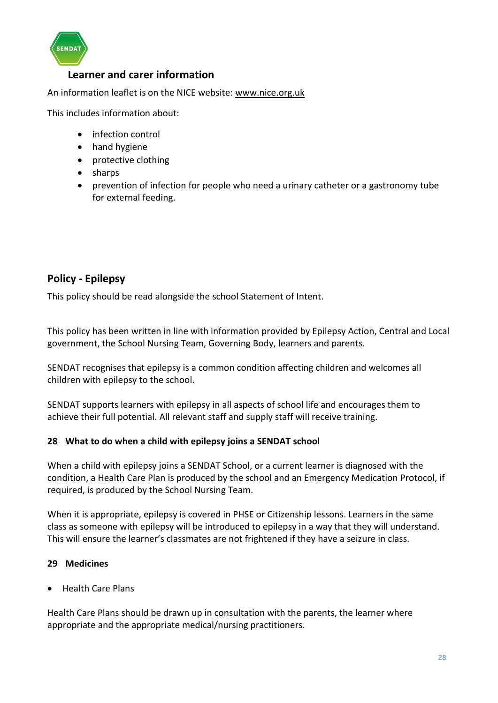

# **Learner and carer information**

An information leaflet is on the NICE website: [www.nice.org.uk](http://www.nice.org.uk/)

This includes information about:

- infection control
- hand hygiene
- protective clothing
- sharps
- prevention of infection for people who need a urinary catheter or a gastronomy tube for external feeding.

# **Policy - Epilepsy**

This policy should be read alongside the school Statement of Intent.

This policy has been written in line with information provided by Epilepsy Action, Central and Local government, the School Nursing Team, Governing Body, learners and parents.

SENDAT recognises that epilepsy is a common condition affecting children and welcomes all children with epilepsy to the school.

SENDAT supports learners with epilepsy in all aspects of school life and encourages them to achieve their full potential. All relevant staff and supply staff will receive training.

## **28 What to do when a child with epilepsy joins a SENDAT school**

When a child with epilepsy joins a SENDAT School, or a current learner is diagnosed with the condition, a Health Care Plan is produced by the school and an Emergency Medication Protocol, if required, is produced by the School Nursing Team.

When it is appropriate, epilepsy is covered in PHSE or Citizenship lessons. Learners in the same class as someone with epilepsy will be introduced to epilepsy in a way that they will understand. This will ensure the learner's classmates are not frightened if they have a seizure in class.

## **29 Medicines**

• Health Care Plans

Health Care Plans should be drawn up in consultation with the parents, the learner where appropriate and the appropriate medical/nursing practitioners.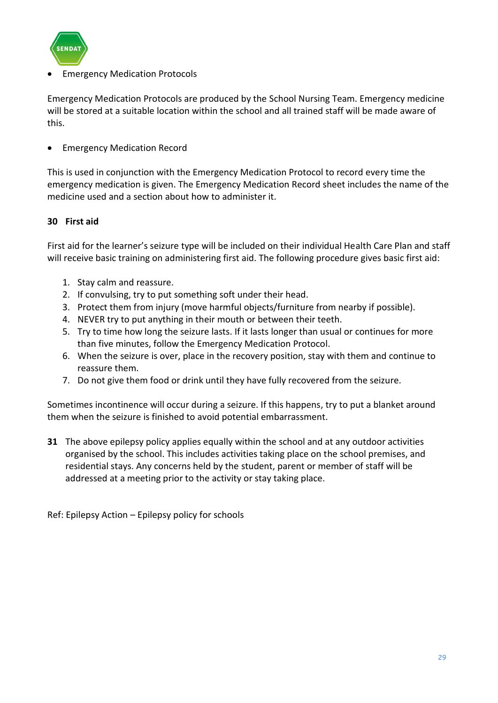

# **Emergency Medication Protocols**

Emergency Medication Protocols are produced by the School Nursing Team. Emergency medicine will be stored at a suitable location within the school and all trained staff will be made aware of this.

• Emergency Medication Record

This is used in conjunction with the Emergency Medication Protocol to record every time the emergency medication is given. The Emergency Medication Record sheet includes the name of the medicine used and a section about how to administer it.

# **30 First aid**

First aid for the learner's seizure type will be included on their individual Health Care Plan and staff will receive basic training on administering first aid. The following procedure gives basic first aid:

- 1. Stay calm and reassure.
- 2. If convulsing, try to put something soft under their head.
- 3. Protect them from injury (move harmful objects/furniture from nearby if possible).
- 4. NEVER try to put anything in their mouth or between their teeth.
- 5. Try to time how long the seizure lasts. If it lasts longer than usual or continues for more than five minutes, follow the Emergency Medication Protocol.
- 6. When the seizure is over, place in the recovery position, stay with them and continue to reassure them.
- 7. Do not give them food or drink until they have fully recovered from the seizure.

Sometimes incontinence will occur during a seizure. If this happens, try to put a blanket around them when the seizure is finished to avoid potential embarrassment.

**31** The above epilepsy policy applies equally within the school and at any outdoor activities organised by the school. This includes activities taking place on the school premises, and residential stays. Any concerns held by the student, parent or member of staff will be addressed at a meeting prior to the activity or stay taking place.

Ref: Epilepsy Action – Epilepsy policy for schools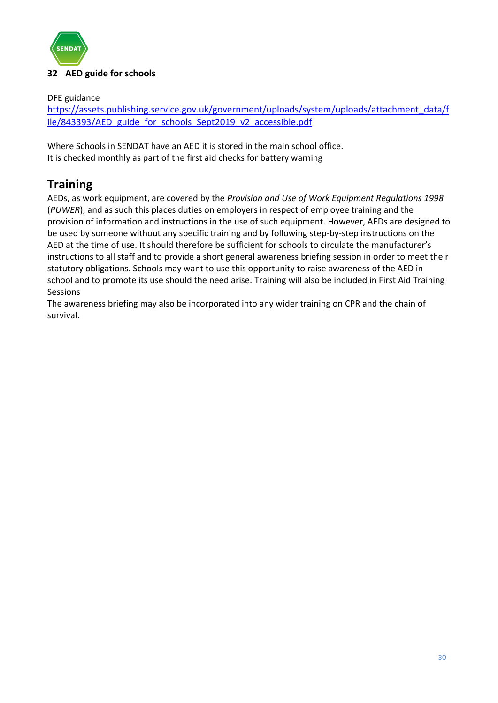

# <span id="page-29-0"></span>**32 AED guide for schools**

DFE guidance

[https://assets.publishing.service.gov.uk/government/uploads/system/uploads/attachment\\_data/f](https://assets.publishing.service.gov.uk/government/uploads/system/uploads/attachment_data/file/843393/AED_guide_for_schools_Sept2019_v2_accessible.pdf) [ile/843393/AED\\_guide\\_for\\_schools\\_Sept2019\\_v2\\_accessible.pdf](https://assets.publishing.service.gov.uk/government/uploads/system/uploads/attachment_data/file/843393/AED_guide_for_schools_Sept2019_v2_accessible.pdf)

Where Schools in SENDAT have an AED it is stored in the main school office. It is checked monthly as part of the first aid checks for battery warning

# **Training**

AEDs, as work equipment, are covered by the *Provision and Use of Work Equipment Regulations 1998*  (*PUWER*), and as such this places duties on employers in respect of employee training and the provision of information and instructions in the use of such equipment. However, AEDs are designed to be used by someone without any specific training and by following step-by-step instructions on the AED at the time of use. It should therefore be sufficient for schools to circulate the manufacturer's instructions to all staff and to provide a short general awareness briefing session in order to meet their statutory obligations. Schools may want to use this opportunity to raise awareness of the AED in school and to promote its use should the need arise. Training will also be included in First Aid Training Sessions

The awareness briefing may also be incorporated into any wider training on CPR and the chain of survival.